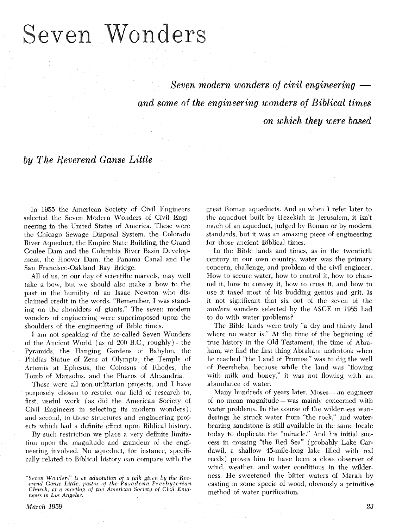# Seven Wonders

*Seven modern wonders of civil engineering and some of the engineering wonders* of *on which they were based* 

*everend Ganse Little* 

In 1955 the American Society of Civil Engineers selected the Seven Modern Wonders of Civil Engineering in the United States of America. These were the Chicago Sewage Disposal System, the Colorado River Aqueduct, the Empire State Building, the Grand Coulee Dam and the Columbia River Basin Development, the Hoover Dam. the Panama Canal and the San Francisco-Oakland Bay Bridge.

All **of** us. in our day of scientific marvels, may well take a bow, but we should also make a bow to the past in the humility of an Isaac Newton who disclaimed credit in the words, "Remember, I was standing on the shoulders of giants." The seven modern wonders of engineering were superimposed upon the shoulders of the engineering of Bible times.

I am not speaking of the so-called Seven Wonders of the Ancient World (as of 200 B.C., roughly) $-$  the Pyramids, the Hanging Gardens of Babylon. the Phidias Statue of Zeus at Olympia. the Temple of Artemis at Ephesus, the Colossus of Rhodes, the Tomb of Mausolus, and the Pharos of Alexandria.

These were all non-utilitarian projects, and I have purposely chosen to restrict our field of research to, first, useful work (as did the American Society of Civil Engineers in selecting its modern wonders), and second, to those structures and engineering projects which had a definite effect upon Biblical history.

By such restriction we place a very definite limitation upon the magnitude and grandeur of the engineering involved. No aqueduct, for instance, specifically related to Biblical history can compare with the great Roman aqueducts. And so when I refer later to the aqueduct built by Hezekiah in Jerusalem, it isn't much of an aqueduct, judged by Roman or by modern standards, but it was an amazing piece of engineering tor those ancient Biblical times.

In the Bible lands and times, as in the twentieth century in our own country, water was the primary concern, challenge, and problem of the civil engineer. How to secure water, how to control it, how to channel it, how to convey it, how to cross it. and how to vise it taxed most of his budding genius and grit. Is it not significant that six out of the seven of the modern wonders selected by the ASCE in 1955 had to do with water problems?

The Bible lands were truly "a dry and thirsty land where no water is." At the time of the beginning of true history in the Old Testament, the time of Abraham, we find the first thing Abraham undertook when he reached "the Land of Promise" was to dig the well of Beersheba. because while the land was 'flowing with milk and honey," it was not flowing with an abundance of water.

Many hundreds of years later, Moses - an engineer of no mean magnitude - was mainly concerned with water problems. In the course of the wilderness wanderings he struck water from "the rock," and waterbearing sandstone is still available in the same locale today to duplicate the "miracle." And his initial success in crossing "the Red Sea" (probably Lake Cardawil, a shallow 45-mile-long lake filled with red reeds) proves him to have been a close observer of wind. weather, and water conditions in the wilderness. He sweetened the bitter waters of Marah by casting in some specie of wood, obviously a primitive method of water purification.

<sup>&</sup>quot;Seven Wonders" is an adaptation of a talk given by the Rev-<br>erend Ganse Little, pastor of the Pasadena Presbyterian *Church, at a meeting of the American Society of Civil Engineers in Los Angeles.*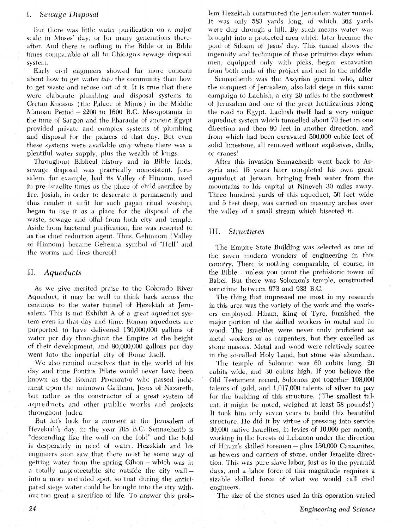#### Sewage Disposal Ι.

But there was little water purification on a major scale in Moses' day, or for many generations thereafter. And there is nothing in the Bible or in Bible times comparable at all to Chicago's sewage disposal system.

Early civil engineers showed far more concern about how to get water *into* the community than how to get waste and refuse out of it. It is true that there were elaborate plumbing and disposal systems in Cretan Knossos (the Palace of Minos) in the Middle Manoan Period  $-2200$  to 1600 B.C. Mesopotamia in the time of Sargon and the Pharaohs of ancient Egypt provided private and complex systems of plumbing and disposal tor the palaces of that day. But even these systems were available only where there was a plentiful water supply, plus the wealth of kings.

Throughout Biblical history and in Bible lands, sewage disposal was practically nonexistent. Jerusalem, for example, had its Valley of Hinnom, used in pre-Israelite times as the place of child sacrifice by fire. Josiah, in order to desecrate it permanently and thus render it unfit for such pagan ritual worship, began to use it as a place for the disposal of the waste, sewage and offal from both city and temple. Aside from bacterial purification, fire was resorted to as the chief reduction agent. Thus, Gehinnom (Valley of Hhinom ) became Gehenna, symbol **ot** "Hell" and the worms and fires thereof!

#### Aqueducts П.

As we give merited praise to the Colorado River Aqueduct, it may be well to think back across the centuries to the water tunnel of Hezekiah at Jerusalem. This is not Exhibit A of a great aqueduct systern even in that day and time. Roman aqueducts are purported to have delivered 130,000,000 gallons ot water per day throughout the Empire at the height of their development, and 90,OOO.OOO gallons per day went into the imperial city of Rome itself.

We also remind ourselves that in the world of his day and time Pontius Pilate would never have been known as the Roman Procurator who passed judgment upon the un'known &lilean, Jesus **oi** Nazareth, but rather as the constructor of a great system of aqueducts and other public works and projects throughout Judea.

But let's look for a moment at the Jerusalem of Hezekiah's day, in the year 705 B.C. Sennacherib is "descending like the wolf on the fold" and the fold is desperately in need of water. Hezekiah and his engineers soon saw that there must be some way of getting water from the spring Gihon – which was in getting water from the spring Gihon – which was in<br>a totally unprotectable site outside the city wall – into a more secluded spot, so that during the anticipated siege water could be brought into the city without too great a sacrifice of life, To answer this prob-

lem Hezekiah constructed the Jerusalem water tunnel. It was only  $583$  yards long, of which  $362$  yards were dug through a hill. By such means water was brought into a protected area which later became the pool of Siloam of Jesus' day. This tunnel shows the ingenuity and technique of those primitive days when men, equipped only with picks, began excavation from both ends **oi** the project and met in the middle.

Sennacherib was the Assyrian general who, after the conquest of Jerusalem, also laid siege in this same eampaign to Lachish, a city 20 miles to the southwest of Ierusalem and one of the great fortifications along the road to Egypt. Lachish itself had a very unique aqueduct system which tunnelled about 70 feet in one direction and then 80 feet in another direction, and from which had been excavated 500,000 cubic feet of solid limestone, all removed without explosives, drills, or cranes!

After this invasion Sennacherib went back to Assyria and 15 years later completed his own great aqueduct at Jerwan, bringing fresh water from the mountains to his capital at Nineveh 30 miles away. Three hundred yards of this aqueduct, 50 feet wide and 5 feet deep, was carried on masonry arches over the valley of a small stream which bisected it.

## 111. *Structures*

The Empire State Building was selected as one of the seven modern wonders of engineering in this country. There is nothing comparable, of course. in the Bible - unless you count the prehistoric tower of Babel. But there was Solomon's temple, constructed sometime between 973 and 933 B.C.

The thing that impressed me most in my research in this area was the variety of the work and the workers employed. Hiram, King of Tyre, furnished the major portion of the skilled workers in metal and in wood. The Israelites were never truly proficient as metal workeis or as carpenters, but they excelled as stone masons. Metal and wood were relatively scarce in the so-called Holy Land, but stone was abundant.

The temple of Solomon was 60 cubits long, 20 cubits wide, and 30 cubits high. If you believe the Old Testament record, Solomon got together 108,000 talents of gold, and 1,017,000 talents of silver to pay for the building of this structure. (The smallest talent, it might be noted, weighed at least 58 pounds!) It took him only seven years to build this beautiful structure. He did it by virtue of pressing into service 30,000 native Israelites, in levies of 10,000 per month, working in the forests of Lebanon under the direction of Hiram's skilled foremen - plus 150,000 Canaanites, as hewers and carriers of stone, under Israelite directiou. This was pure slave labor, just as in the pyramid days, and a labor force of this magnitude requires a sizable skilled iorce of what we would call civil engineers.

The size of the stones used in this operation varied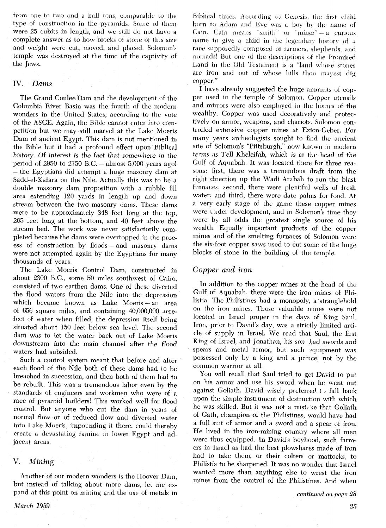from one to two and a half tons, comparable to the type of construction in the pyramids. Some of them were 25 cubits in length, and we still do not have complete answer as to how blocks of stone of this size and weight were cut, moved, and placed. Solomon's temple was destroyed at the time of the captivity of the Jews.

# IV. Dams

The Grand Coulee Dam and the development of the Columbia River Basin was the fourth of the modern wonders in the United States, according to the vote of the ASCE. Again, the Bible cannot enter into competition but we may still marvel at the Lake Moeris Dam of ancient Egypt. This dam is not mentioned in the Bible but it had a profound effect upon Biblical history. Of interest is the fact that somewhere in the period of 2950 to 2750 B.C.  $-$  almost 5,000 years ago! -the Egyptians did attempt a huge masonry dam at Sadd-el-Kafara on the Nile. Actually this was to be **d**  double masonry dam proposition with a rubble fill area extending 120 yards in length up and down stream between the two masonry dams. These dams were to be approximately 348 feet long at the top, 265 feet long at the bottom, and 40 feet above the stream bed. The work was never satisfactorily completed because the dams were overtopped in the process of construction by floods  $-$  and masonry dams were not attempted again by the Egyptians for many thousands of years.

The Lake Moeris Control Dam, constructed in about 2300 B.C., some 50 miles southwest of Cairo, consisted of two earthen dams. One of these diverted the flood waters from the Nile into the depression which became known as Lake Moeris - an area of 656 square miles, and containing 40,000,000 acrefeet of water when filled, the depression itself being situated about 150 feet below sea level. The second dam was to let the water back out of Lake Moeris downstream into the main channel after the flood waters had subsided,

Such a control system meant that before and after each flood of the Nile both of these dams had to he breached in succession, and then both of them had to be rebuilt. This was a tremendous labor even by the standards of engineers and workmen who were of a race of pyramid builders! This worked well for flood control. But anyone who cut the dam in years of normal flow or of reduced flow and diverted water into Lake Moeris. impounding it there, could thereby create a devastating famine in lower Egypt and adjacent areas.

### V. Mining

Another of our modern wonders is the Hoover Dam, but instead of talking about more dams, let me expand at this point on mining and the use of metals in

*March* 1959

Biblical times. According to Genesis, the first child born to Adam and Eve was a boy by the name of Cain. Cain means "smith" or "miner"  $- a$  curious name to give a child in the legendary history of a race supposedly composed of farmers, shepherds, and nomads! But one of the descriptions of the Promised Land in the Old Testament is a "land whose stones" are iron and out of whose liills thou mayest dig copper."

I have already suggested the huge amounts of copper used in the temple of Solomon. Copper utensils and mirrors were also employed in the homes of the wealthy. Copper was used decoratively and protectively on armor, weapons, and chariots. Solomon controlled extensive copper mines at Ezion-Geber. For many years archeologists sought to find the ancient site of Solomon's "Pittsburgh," now known in modern terms as Tell Kheleifah, which is at the head of the Gulf of Aquabah. It was located there for three reasons: first, there was a tremendous draft from the right direction up the Wadi Arabah to run the blast furnaces, second, there were plentiful wells of fresh water, and third, there were date palms for food. At a very early stage of the game these copper mines were under development, and in Solomon's time they were by all odds the greatest single source of his wealth. Equally important products of the copper mines and of the smelting furnaces of Solomon were the six-foot copper saws used to cut some of the huge blocks of stone in the building of the temple.

# Copper and iron

In addition to the copper mines at the head of the Gulf of Aquabah, there were the iron mines of Philistia. The Philistines had a monopoly, a stranglehold on the iron mines. Those valuable mines were not located in Israel proper in the days of King Saul. Iron, prior to David's day, was a strictly limited article of supply in Israel. We read that Saul, the first King of Israel, and Jonathan, his son had swords and spears and metal armor, but such equipment was possessed only by a king and a prince, not by the common warrior at all,

You will recall that Saul tried to get David to put on his armor and use his sword when he went out against Goliath. David wisely preferred  $\cdot$  fall back upon the simple instrument of destruction with which he was skilled. But it was not a mistake that Goliath of Gath, champion of the Philistines, would have had a full suit of armor and a sword and a spear of iron. He lived in the iron-mining country where all men were thus equipped. In David's boyhood, such farmers in Israel as had the best plowshares made of iron had to take them, or their colters or mattocks, to Philistia to be sharpened. It was no wonder that Israel wanted more than anything else to wrest the iron mines from the control of the Philistines. And when

*continued on page 28*